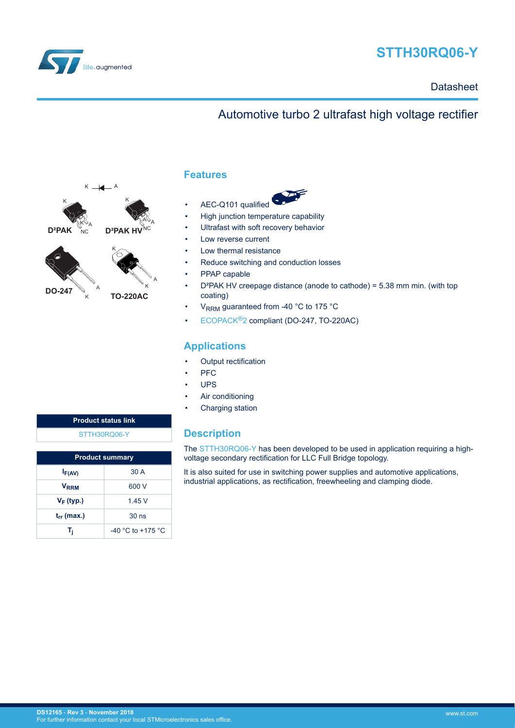

# **STTH30RQ06-Y**

## **Datasheet**

# Automotive turbo 2 ultrafast high voltage rectifier



D<sup>2</sup>D







**TO-220AC** K

K A

NC A

A

## **Features**

- AEC-Q101 qualified
- High junction temperature capability
- Ultrafast with soft recovery behavior
- Low reverse current
- Low thermal resistance
- Reduce switching and conduction losses
- PPAP capable
- D²PAK HV creepage distance (anode to cathode) = 5.38 mm min. (with top coating)
- V<sub>RRM</sub> guaranteed from -40 °C to 175 °C
- [ECOPACK](https://www.st.com/ecopack)®2 compliant (DO-247, TO-220AC)

## **Applications**

- **Output rectification**
- PFC
- UPS
- Air conditioning
- Charging station

## **Description**

The [STTH30RQ06-Y](https://www.st.com/en/product/stth30rq06-y) has been developed to be used in application requiring a highvoltage secondary rectification for LLC Full Bridge topology.

It is also suited for use in switching power supplies and automotive applications, industrial applications, as rectification, freewheeling and clamping diode.

| <b>Product status link</b> |  |
|----------------------------|--|
| STTH30RQ06-Y               |  |
|                            |  |

|                         | <b>Product summary</b> |
|-------------------------|------------------------|
| $I_{F(AV)}$             | 30 A                   |
| <b>V</b> <sub>RRM</sub> | 600 V                  |
| $V_F$ (typ.)            | 1.45V                  |
| $t_{rr}$ (max.)         | 30 <sub>ns</sub>       |
| T,                      | $-40$ °C to +175 °C    |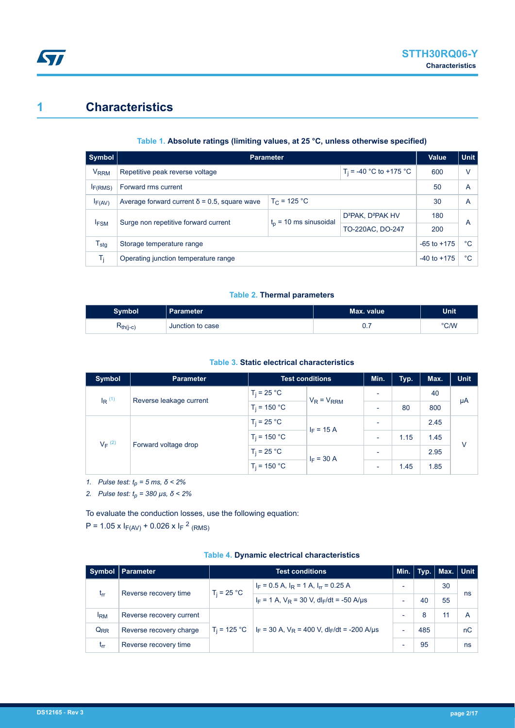## **1 Characteristics**

ST

#### **Table 1. Absolute ratings (limiting values, at 25 °C, unless otherwise specified)**

| Symbol                 | <b>Parameter</b>                                    |                         |                                           | <b>Value</b>                              | <b>Unit</b>    |
|------------------------|-----------------------------------------------------|-------------------------|-------------------------------------------|-------------------------------------------|----------------|
| <b>V<sub>RRM</sub></b> | Repetitive peak reverse voltage                     |                         | $T_i$ = -40 °C to +175 °C                 | 600                                       | v              |
| I <sub>F(RMS)</sub>    | Forward rms current                                 |                         |                                           | 50                                        | A              |
| $I_{F(AV)}$            | Average forward current $\delta$ = 0.5, square wave | $T_{C}$ = 125 °C        |                                           | 30                                        | $\overline{A}$ |
|                        | Surge non repetitive forward current                | $tp$ = 10 ms sinusoidal | D <sup>2</sup> PAK, D <sup>2</sup> PAK HV | 180                                       | A              |
| I <sub>FSM</sub>       |                                                     |                         | TO-220AC, DO-247                          | 200<br>$-65$ to $+175$<br>$-40$ to $+175$ |                |
| $T_{\text{stg}}$       | Storage temperature range                           |                         |                                           |                                           | $^{\circ}C$    |
| Tĩ                     | Operating junction temperature range                |                         |                                           |                                           | °C             |

#### **Table 2. Thermal parameters**

| Symbol                 | <b>Parameter</b> | Max. value | Unit |  |
|------------------------|------------------|------------|------|--|
| $\mathbf{F}_{th(j-c)}$ | Junction to case | υ. ι       | °C/W |  |

**Table 3. Static electrical characteristics**

| <b>Symbol</b>        | <b>Parameter</b>        |                | <b>Test conditions</b> | Min.                     | Typ. | Max. | <b>Unit</b> |
|----------------------|-------------------------|----------------|------------------------|--------------------------|------|------|-------------|
| $I_R$ <sup>(1)</sup> | Reverse leakage current | $T_i = 25 °C$  | $V_R = V_{RRM}$        | ٠                        |      | 40   | μA          |
|                      |                         | $T_i = 150 °C$ |                        | $\overline{\phantom{a}}$ | 80   | 800  |             |
| $V_F$ (2)            | Forward voltage drop    | $T_i = 25 °C$  | $I_F = 15 A$           | $\overline{\phantom{a}}$ |      | 2.45 |             |
|                      |                         | $T_i = 150 °C$ |                        | $\overline{\phantom{0}}$ | 1.15 | 1.45 | $\vee$      |
|                      |                         | $T_i = 25 °C$  | $I_F = 30 A$           | $\overline{\phantom{a}}$ |      | 2.95 |             |
|                      |                         | $T_i = 150 °C$ |                        | $\overline{\phantom{a}}$ | 1.45 | 1.85 |             |

*1. Pulse test: tp = 5 ms, δ < 2%*

*2. Pulse test: tp = 380 µs, δ < 2%*

To evaluate the conduction losses, use the following equation:

P = 1.05 x  $I_{F(AV)}$  + 0.026 x  $I_F$ <sup>2</sup> (RMS)

|  |  | Table 4. Dynamic electrical characteristics |  |
|--|--|---------------------------------------------|--|
|  |  |                                             |  |

|                 |                                                                                                                                                        |                                                           | Min.<br><b>Test conditions</b>                               |                          |     | Max. $ $ Unit |    |
|-----------------|--------------------------------------------------------------------------------------------------------------------------------------------------------|-----------------------------------------------------------|--------------------------------------------------------------|--------------------------|-----|---------------|----|
|                 |                                                                                                                                                        |                                                           | $I_F = 0.5$ A, $I_R = 1$ A, $I_{rr} = 0.25$ A                | -                        |     | 30            | ns |
|                 | Symbol Parameter<br>$T_i = 25 °C$<br>$t_{rr}$<br>Reverse recovery time<br>Reverse recovery current<br>Reverse recovery charge<br>Reverse recovery time | $I_F = 1$ A, $V_R = 30$ V, dl <sub>F</sub> /dt = -50 A/µs |                                                              | 40                       | 55  |               |    |
| <sup>I</sup> RM |                                                                                                                                                        |                                                           |                                                              | $\overline{\phantom{a}}$ | 8   | 11            | A  |
| $Q_{RR}$        |                                                                                                                                                        | $T_i = 125 °C$                                            | $I_F$ = 30 A, $V_R$ = 400 V, dl <sub>F</sub> /dt = -200 A/us |                          | 485 |               | nC |
| $t_{rr}$        |                                                                                                                                                        |                                                           |                                                              |                          | 95  |               | ns |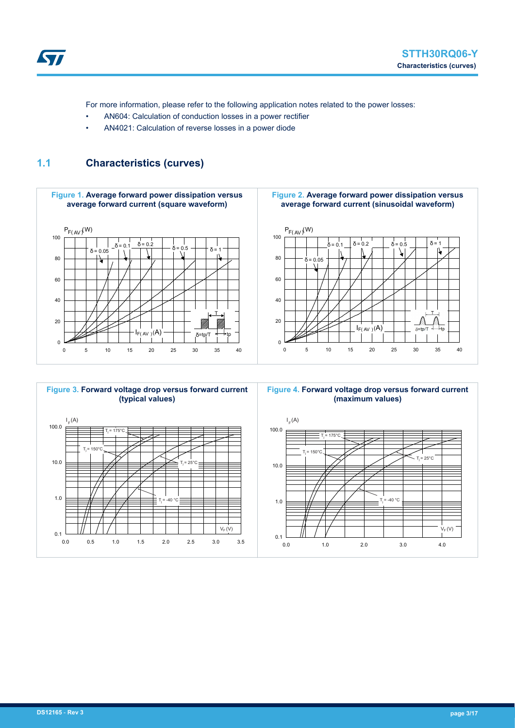

For more information, please refer to the following application notes related to the power losses:

- AN604: Calculation of conduction losses in a power rectifier
- AN4021: Calculation of reverse losses in a power diode

## **1.1 Characteristics (curves)**



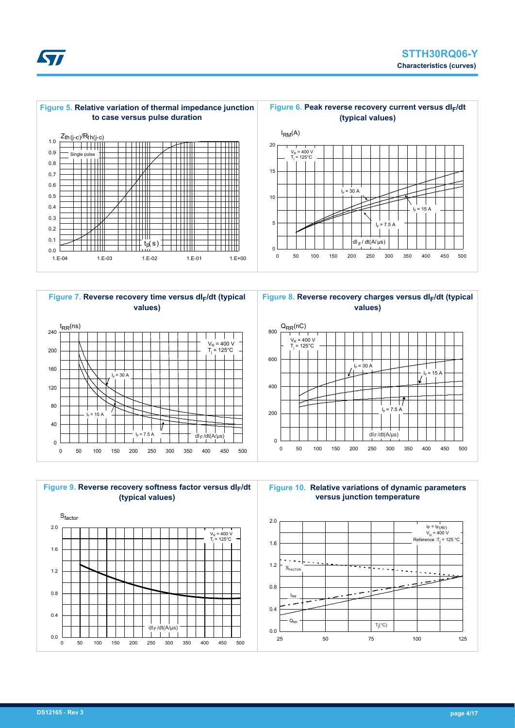



**Figure 7. Reverse recovery time versus dIF/dt (typical values)**



**Figure 8. Reverse recovery charges versus dIF/dt (typical values)**







**Figure 10. Relative variations of dynamic parameters versus junction temperature**

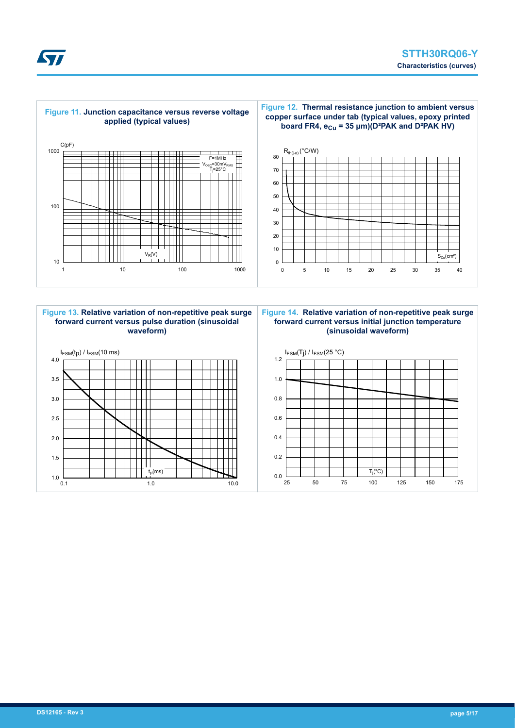



**Figure 12. Thermal resistance junction to ambient versus copper surface under tab (typical values, epoxy printed** board FR4, e<sub>Cu</sub> = 35 µm)(D<sup>2</sup>PAK and D<sup>2</sup>PAK HV)





 $\overline{\phantom{a}}$ 







3.0

3.5

4.0

**Kyr**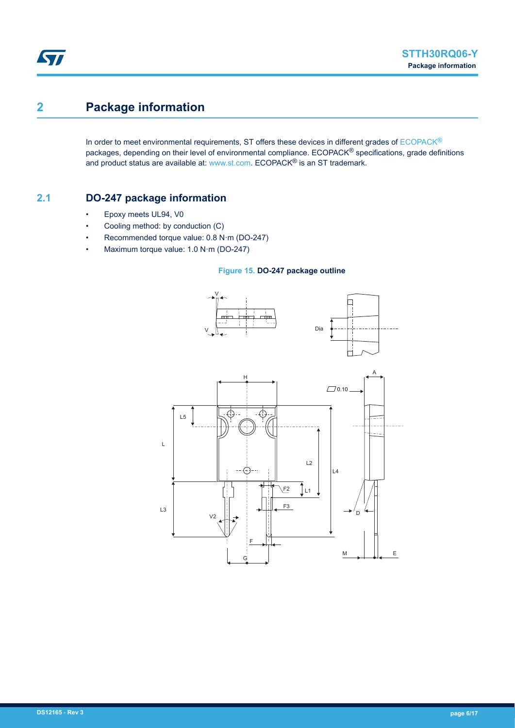# **2 Package information**

In order to meet environmental requirements, ST offers these devices in different grades of [ECOPACK](https://www.st.com/ecopack)® packages, depending on their level of environmental compliance. ECOPACK<sup>®</sup> specifications, grade definitions and product status are available at: [www.st.com.](http://www.st.com) ECOPACK® is an ST trademark.

## **2.1 DO-247 package information**

- Epoxy meets UL94, V0
- Cooling method: by conduction (C)
- Recommended torque value: 0.8 N·m (DO-247)
- Maximum torque value: 1.0 N·m (DO-247)

#### **Figure 15. DO-247 package outline**

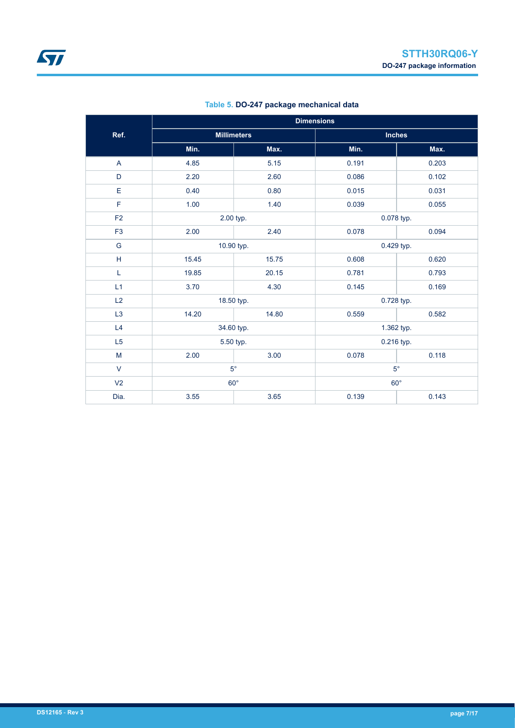|                | <b>Dimensions</b> |                    |            |               |  |
|----------------|-------------------|--------------------|------------|---------------|--|
| Ref.           |                   | <b>Millimeters</b> |            | <b>Inches</b> |  |
|                | Min.              | Max.               | Min.       | Max.          |  |
| A              | 4.85              | 5.15               | 0.191      | 0.203         |  |
| D              | 2.20              | 2.60               | 0.086      | 0.102         |  |
| E              | 0.40              | 0.80               | 0.015      | 0.031         |  |
| F              | 1.00              | 1.40               | 0.039      | 0.055         |  |
| F2             | 2.00 typ.         |                    | 0.078 typ. |               |  |
| F <sub>3</sub> | 2.00              | 2.40               | 0.078      | 0.094         |  |
| G              | 10.90 typ.        |                    | 0.429 typ. |               |  |
| H              | 15.45             | 15.75              | 0.608      | 0.620         |  |
| L              | 19.85             | 20.15              | 0.781      | 0.793         |  |
| L1             | 3.70              | 4.30               | 0.145      | 0.169         |  |
| L2             | 18.50 typ.        |                    | 0.728 typ. |               |  |
| L <sub>3</sub> | 14.20             | 14.80              | 0.559      | 0.582         |  |
| L4             | 34.60 typ.        |                    |            | 1.362 typ.    |  |
| L <sub>5</sub> |                   | 5.50 typ.          | 0.216 typ. |               |  |
| M              | 2.00              | 3.00               | 0.078      | 0.118         |  |
| $\vee$         | $5^\circ$         |                    |            | $5^{\circ}$   |  |
| V <sub>2</sub> |                   | $60^\circ$         |            | $60^\circ$    |  |
| Dia.           | 3.55              | 3.65               | 0.139      | 0.143         |  |

### **Table 5. DO-247 package mechanical data**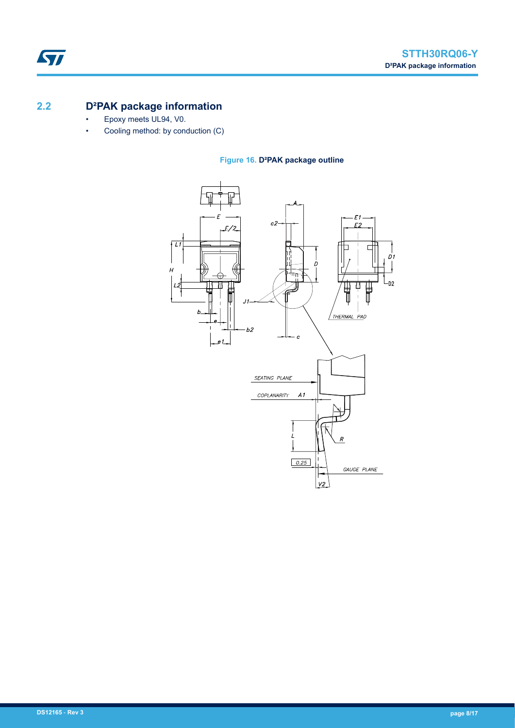## **2.2 D²PAK package information**

ST

- Epoxy meets UL94, V0.
- Cooling method: by conduction (C)



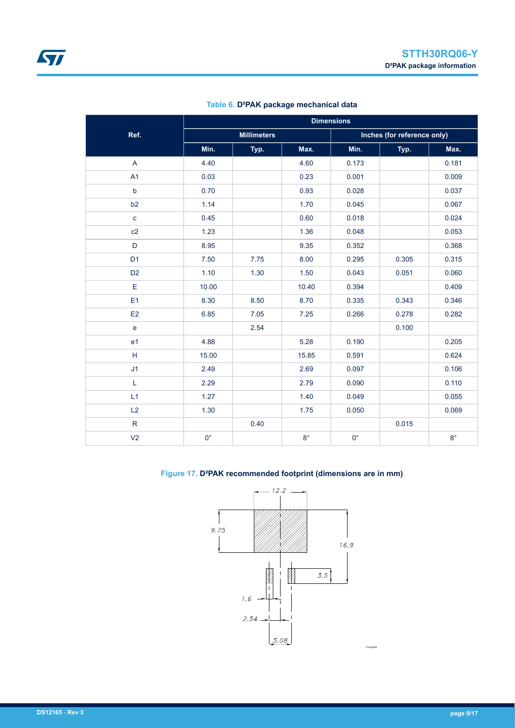|                                                             | <b>Dimensions</b> |                    |             |             |                             |             |  |
|-------------------------------------------------------------|-------------------|--------------------|-------------|-------------|-----------------------------|-------------|--|
| Ref.                                                        |                   | <b>Millimeters</b> |             |             | Inches (for reference only) |             |  |
|                                                             | Min.              | Typ.               | Max.        | Min.        | Typ.                        | Max.        |  |
| A                                                           | 4.40              |                    | 4.60        | 0.173       |                             | 0.181       |  |
| A1                                                          | 0.03              |                    | 0.23        | 0.001       |                             | 0.009       |  |
| $\mathsf b$                                                 | 0.70              |                    | 0.93        | 0.028       |                             | 0.037       |  |
| b2                                                          | 1.14              |                    | 1.70        | 0.045       |                             | 0.067       |  |
| $\mathbf c$                                                 | 0.45              |                    | 0.60        | 0.018       |                             | 0.024       |  |
| c2                                                          | 1.23              |                    | 1.36        | 0.048       |                             | 0.053       |  |
| D                                                           | 8.95              |                    | 9.35        | 0.352       |                             | 0.368       |  |
| D <sub>1</sub>                                              | 7.50              | 7.75               | 8.00        | 0.295       | 0.305                       | 0.315       |  |
| D <sub>2</sub>                                              | 1.10              | 1.30               | 1.50        | 0.043       | 0.051                       | 0.060       |  |
| E                                                           | 10.00             |                    | 10.40       | 0.394       |                             | 0.409       |  |
| E <sub>1</sub>                                              | 8.30              | 8.50               | 8.70        | 0.335       | 0.343                       | 0.346       |  |
| E <sub>2</sub>                                              | 6.85              | 7.05               | 7.25        | 0.266       | 0.278                       | 0.282       |  |
| $\mathbf{e}$                                                |                   | 2.54               |             |             | 0.100                       |             |  |
| e <sub>1</sub>                                              | 4.88              |                    | 5.28        | 0.190       |                             | 0.205       |  |
| $\mathsf{H}% _{\mathbb{R}}^{1}\left( \mathbb{R}^{2}\right)$ | 15.00             |                    | 15.85       | 0.591       |                             | 0.624       |  |
| J1                                                          | 2.49              |                    | 2.69        | 0.097       |                             | 0.106       |  |
| L                                                           | 2.29              |                    | 2.79        | 0.090       |                             | 0.110       |  |
| L1                                                          | 1.27              |                    | 1.40        | 0.049       |                             | 0.055       |  |
| L2                                                          | 1.30              |                    | 1.75        | 0.050       |                             | 0.069       |  |
| $\sf R$                                                     |                   | 0.40               |             |             | 0.015                       |             |  |
| V <sub>2</sub>                                              | $0^{\circ}$       |                    | $8^{\circ}$ | $0^{\circ}$ |                             | $8^{\circ}$ |  |

### **Table 6. D²PAK package mechanical data**

### **Figure 17. D²PAK recommended footprint (dimensions are in mm)**

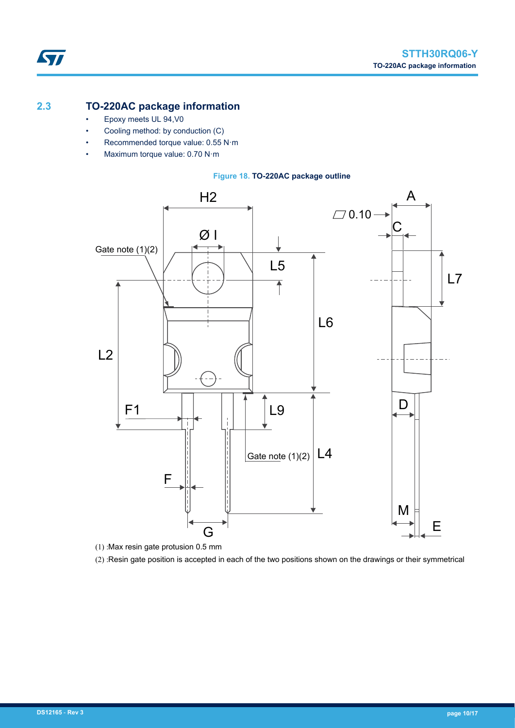• Epoxy meets UL 94,V0

ST

- Cooling method: by conduction (C)
- Recommended torque value: 0.55 N·m
- Maximum torque value: 0.70 N·m



**Figure 18. TO-220AC package outline**

(1) : Max resin gate protusion 0.5 mm

(2) : Resin gate position is accepted in each of the two positions shown on the drawings or their symmetrical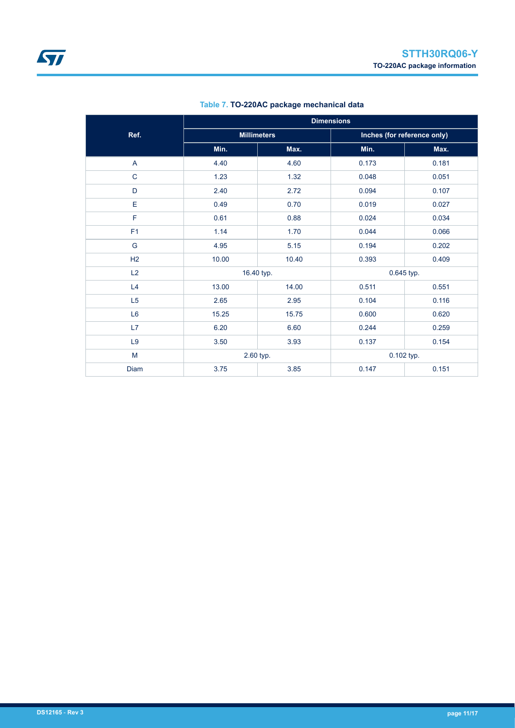|                | <b>Dimensions</b> |                          |                             |       |  |  |
|----------------|-------------------|--------------------------|-----------------------------|-------|--|--|
| Ref.           |                   | <b>Millimeters</b>       | Inches (for reference only) |       |  |  |
|                | Min.              | Max.                     | Min.                        | Max.  |  |  |
| A              | 4.40              | 4.60                     | 0.173                       | 0.181 |  |  |
| $\mathbf C$    | 1.23              | 1.32                     | 0.048                       | 0.051 |  |  |
| D              | 2.40              | 2.72                     | 0.094                       | 0.107 |  |  |
| E              | 0.49              | 0.70                     | 0.019                       | 0.027 |  |  |
| F              | 0.61              | 0.88                     | 0.024                       | 0.034 |  |  |
| F1             | 1.14              | 1.70                     | 0.044                       | 0.066 |  |  |
| G              | 4.95              | 5.15                     | 0.194                       | 0.202 |  |  |
| H2             | 10.00             | 10.40                    | 0.393                       | 0.409 |  |  |
| L2             |                   | 16.40 typ.<br>0.645 typ. |                             |       |  |  |
| L4             | 13.00             | 14.00                    | 0.511                       | 0.551 |  |  |
| L5             | 2.65              | 2.95                     | 0.104                       | 0.116 |  |  |
| L6             | 15.25             | 15.75                    | 0.600                       | 0.620 |  |  |
| L7             | 6.20              | 6.60                     | 0.244                       | 0.259 |  |  |
| L <sub>9</sub> | 3.50              | 3.93                     | 0.137                       | 0.154 |  |  |
| M              |                   | 2.60 typ.                | 0.102 typ.                  |       |  |  |
| Diam           | 3.75              | 3.85                     | 0.147                       | 0.151 |  |  |

### **Table 7. TO-220AC package mechanical data**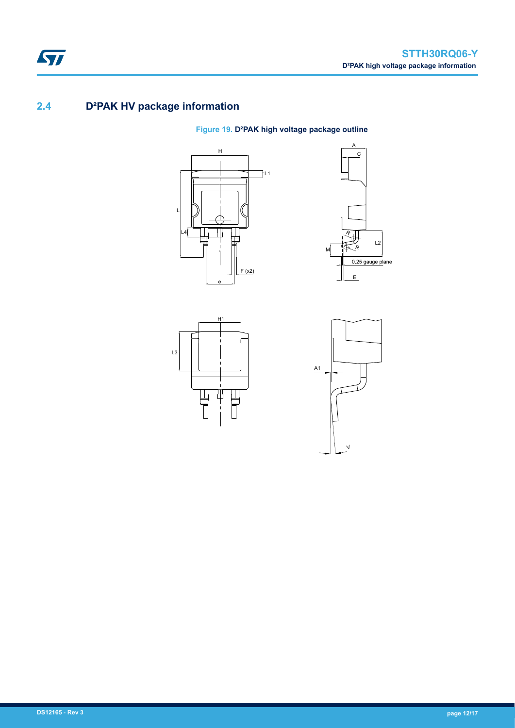## **2.4 D²PAK HV package information**

### **Figure 19. D²PAK high voltage package outline**





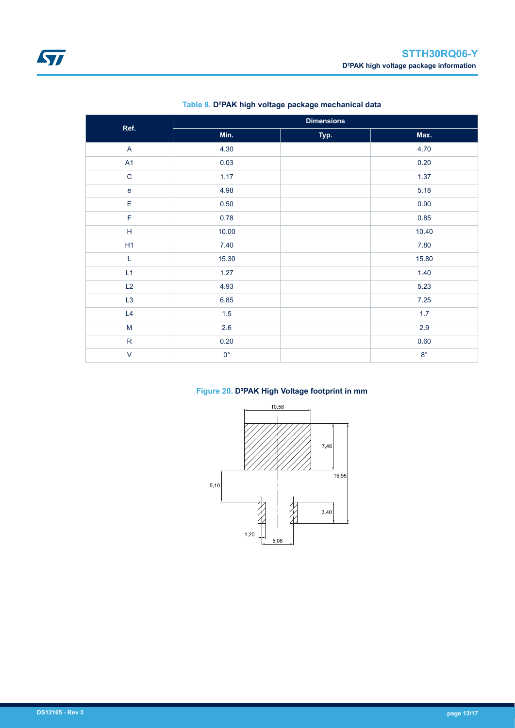| Ref.        |             | <b>Dimensions</b> |             |
|-------------|-------------|-------------------|-------------|
|             | Min.        | Typ.              | Max.        |
| A           | 4.30        |                   | 4.70        |
| A1          | 0.03        |                   | 0.20        |
| $\mathbf C$ | 1.17        |                   | 1.37        |
| $\mathbf e$ | 4.98        |                   | 5.18        |
| $\mathsf E$ | 0.50        |                   | 0.90        |
| $\mathsf F$ | 0.78        |                   | 0.85        |
| $\sf H$     | 10.00       |                   | 10.40       |
| H1          | 7.40        |                   | 7.80        |
| L           | 15.30       |                   | 15.80       |
| L1          | 1.27        |                   | 1.40        |
| L2          | 4.93        |                   | 5.23        |
| L3          | 6.85        |                   | $7.25$      |
| L4          | $1.5\,$     |                   | 1.7         |
| ${\sf M}$   | 2.6         |                   | 2.9         |
| ${\sf R}$   | 0.20        |                   | 0.60        |
| $\vee$      | $0^{\circ}$ |                   | $8^{\circ}$ |

### **Table 8. D²PAK high voltage package mechanical data**

### **Figure 20. D²PAK High Voltage footprint in mm**

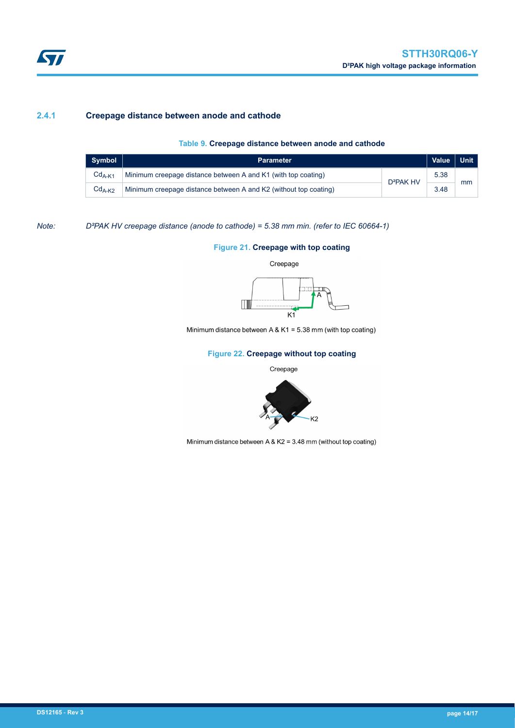### <span id="page-13-0"></span>**2.4.1 Creepage distance between anode and cathode**

#### **Table 9. Creepage distance between anode and cathode**

| Symbol   | <b>Parameter</b>                                                 |                       |      | <b>Unit</b> |
|----------|------------------------------------------------------------------|-----------------------|------|-------------|
| $CdA-K1$ | Minimum creepage distance between A and K1 (with top coating)    | D <sup>2</sup> PAK HV | 5.38 |             |
| $CdA-K2$ | Minimum creepage distance between A and K2 (without top coating) |                       | 3.48 | mm          |

*Note: D²PAK HV creepage distance (anode to cathode) = 5.38 mm min. (refer to IEC 60664-1)*

#### **Figure 21. Creepage with top coating**

Creepage



Minimum distance between  $A & K1 = 5.38$  mm (with top coating)

#### **Figure 22. Creepage without top coating**

Creepage



Minimum distance between A &  $K2 = 3.48$  mm (without top coating)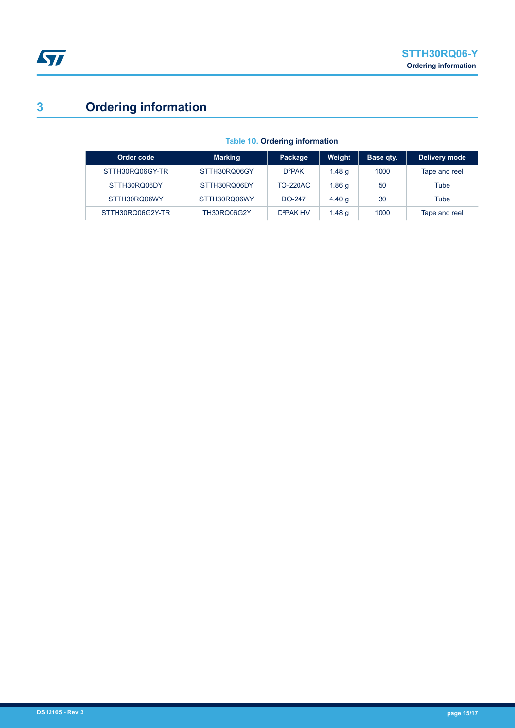# **3 Ordering information**

| Order code       | <b>Marking</b>     | Package               | Weight            | Base qty. | Delivery mode |
|------------------|--------------------|-----------------------|-------------------|-----------|---------------|
| STTH30RQ06GY-TR  | STTH30RQ06GY       | D <sup>2</sup> PAK    | 1.48 q            | 1000      | Tape and reel |
| STTH30RQ06DY     | STTH30RQ06DY       | <b>TO-220AC</b>       | 1.86 q            | 50        | Tube          |
| STTH30RQ06WY     | STTH30RQ06WY       | DO-247                | 4.40 $q$          | 30        | Tube          |
| STTH30RQ06G2Y-TR | <b>TH30RQ06G2Y</b> | D <sup>2</sup> PAK HV | 1.48 <sub>q</sub> | 1000      | Tape and reel |

### **Table 10. Ordering information**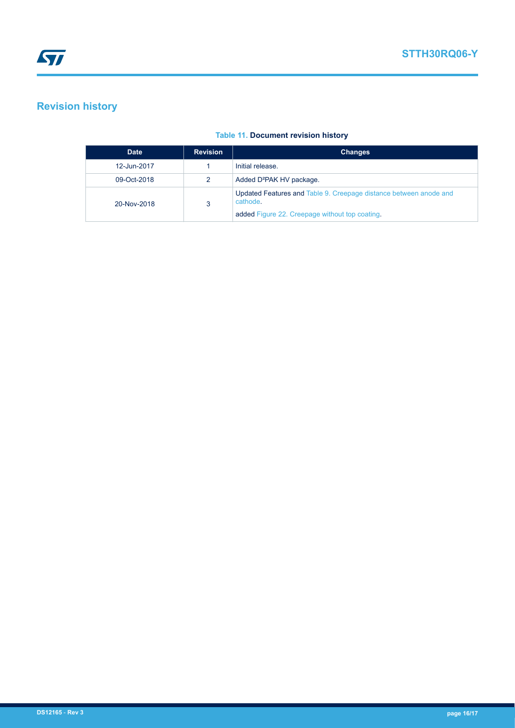# **Revision history**

|  | <b>Table 11. Document revision history</b> |  |  |
|--|--------------------------------------------|--|--|
|--|--------------------------------------------|--|--|

| <b>Date</b> | <b>Revision</b> | <b>Changes</b>                                                                                                                 |
|-------------|-----------------|--------------------------------------------------------------------------------------------------------------------------------|
| 12-Jun-2017 |                 | Initial release.                                                                                                               |
| 09-Oct-2018 | 2               | Added D <sup>2</sup> PAK HV package.                                                                                           |
| 20-Nov-2018 | 3               | Updated Features and Table 9. Creepage distance between anode and<br>cathode.<br>added Figure 22. Creepage without top coating |